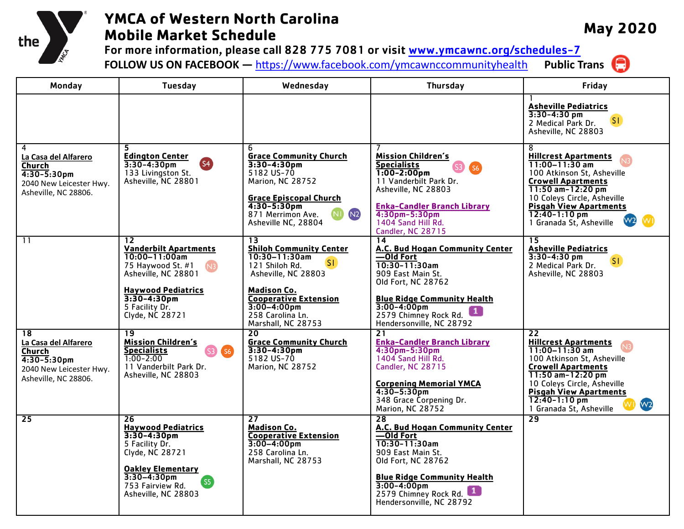

## **YMCA of Western North Carolina Mobile Market Schedule**

**May 2020**

For more information, please call 828 775 7081 or visit  $www.ymcawnc.org/scheduling-7$ <br>FOLLOW US ON FACEBOOK — https://www.facebook.com/ymcawnccommunityhealth Public Trans **FOLLOW US ON FACEBOOK —** <https://www.facebook.com/ymcawnccommunityhealth>

| Monday                                                                                                    | <b>Tuesday</b>                                                                                                                                                                                         | Wednesday                                                                                                                                                                                                                     | <b>Thursday</b>                                                                                                                                                                                                                              | Friday                                                                                                                                                                                                                                                                    |
|-----------------------------------------------------------------------------------------------------------|--------------------------------------------------------------------------------------------------------------------------------------------------------------------------------------------------------|-------------------------------------------------------------------------------------------------------------------------------------------------------------------------------------------------------------------------------|----------------------------------------------------------------------------------------------------------------------------------------------------------------------------------------------------------------------------------------------|---------------------------------------------------------------------------------------------------------------------------------------------------------------------------------------------------------------------------------------------------------------------------|
|                                                                                                           |                                                                                                                                                                                                        |                                                                                                                                                                                                                               |                                                                                                                                                                                                                                              | <b>Asheville Pediatrics</b><br>$3:30 - 4:30$ pm<br>[ST]<br>2 Medical Park Dr.<br>Asheville, NC 28803                                                                                                                                                                      |
| 4<br>La Casa del Alfarero<br>Church<br>$4:30-5:30$ pm<br>2040 New Leicester Hwy.<br>Asheville, NC 28806.  | 5<br><b>Edington Center</b><br><b>S4</b><br>$3:30-4:30$ pm<br>133 Livingston St.<br>Asheville, NC 28801                                                                                                | 6<br><b>Grace Community Church</b><br>$3:30-4:30$ pm<br>5182 US-70<br>Marion, NC 28752<br><b>Grace Episcopal Church</b><br>$4:30 - 5:30$ pm<br>N <sub>2</sub><br>871 Merrimon Ave.<br>Asheville NC, 28804                     | <b>Mission Children's</b><br><b>Specialists</b><br>$1:00 - 2:00$ pm<br>11 Vanderbilt Park Dr.<br>Asheville, NC 28803<br><b>Enka-Candler Branch Library</b><br>$4:30$ pm $-5:30$ pm<br>1404 Sand Hill Rd.<br>Candler, NC 28715                | 8<br><b>Hillcrest Apartments</b><br>$11:00 - 11:30$ am<br>100 Atkinson St. Asheville<br><b>Crowell Apartments</b><br>11:50 am-12:20 pm<br>10 Coleys Circle, Asheville<br><b>Pisgah View Apartments</b><br>$12:40-1:10$ pm<br>1 Granada St, Asheville                      |
| 11                                                                                                        | 12<br><b>Vanderbilt Apartments</b><br>$10:00 - 11:00$ am<br>75 Haywood St. #1<br>Asheville, NC 28801<br><b>Haywood Pediatrics</b><br>$3:30 - 4:30$ pm<br>5 Facility Dr.<br>Clyde, NC 28721             | 13<br><b>Shiloh Community Center</b><br>$10:30 - 11:30$ am<br>SI<br>121 Shiloh Rd.<br>Asheville, NC 28803<br><b>Madison Co.</b><br><b>Cooperative Extension</b><br>$3:00 - 4:00$ pm<br>258 Carolina Ln.<br>Marshall, NC 28753 | $\overline{14}$<br>A.C. Bud Hogan Community Center<br>—Old Fort<br>$10:30-11:30am$<br>909 East Main St.<br>Old Fort, NC 28762<br><b>Blue Ridge Community Health</b><br>$3:00 - 4:00$ pm<br>2579 Chimney Rock Rd.<br>Hendersonville, NC 28792 | $\overline{15}$<br><b>Asheville Pediatrics</b><br>$3:30-4:30$ pm<br>SI.<br>2 Medical Park Dr.<br>Asheville, NC 28803                                                                                                                                                      |
| 18<br>La Casa del Alfarero<br>Church<br>$4:30-5:30$ pm<br>2040 New Leicester Hwy.<br>Asheville, NC 28806. | 19<br><b>Mission Children's</b><br>Specialists<br>SS <sub>2</sub><br>$1:00 - 2:00$<br>11 Vanderbilt Park Dr.<br>Asheville, NC 28803                                                                    | 20<br><b>Grace Community Church</b><br>$3:30-4:30$ pm<br>5182 US-70<br>Marion, NC 28752                                                                                                                                       | 21<br><b>Enka-Candler Branch Library</b><br>4:30pm-5:30pm<br>1404 Sand Hill Rd.<br>Candler, NC 28715<br><b>Corpening Memorial YMCA</b><br>$4:30 - 5:30$ pm<br>348 Grace Corpening Dr.<br>Marion, NC 28752                                    | 22<br><b>Hillcrest Apartments</b><br>$11:00 - 11:30$ am<br>100 Atkinson St, Asheville<br><b>Crowell Apartments</b><br>11:50 am-12:20 pm<br>10 Coleys Circle, Asheville<br><b>Pisgah View Apartments</b><br>$12:40 - 1:10$ pm<br>W <sub>2</sub><br>1 Granada St, Asheville |
| 25                                                                                                        | 26<br><b>Haywood Pediatrics</b><br>$3:30 - 4:30$ pm<br>5 Facility Dr.<br>Clyde, NC 28721<br><b>Oakley Elementary</b><br>$3:30-4:30$ pm<br>(s <sub>5</sub> )<br>753 Fairview Rd.<br>Asheville, NC 28803 | 27<br><b>Madison Co.</b><br><b>Cooperative Extension</b><br>$3:00 - 4:00$ pm<br>258 Carolina Ln.<br>Marshall, NC 28753                                                                                                        | 28<br>A.C. Bud Hogan Community Center<br>—Old Fort<br>$10:30-11:30am$<br>909 East Main St.<br>Old Fort, NC 28762<br><b>Blue Ridge Community Health</b><br>$3:00 - 4:00$ pm<br>2579 Chimney Rock Rd.<br>Hendersonville, NC 28792              | 29                                                                                                                                                                                                                                                                        |